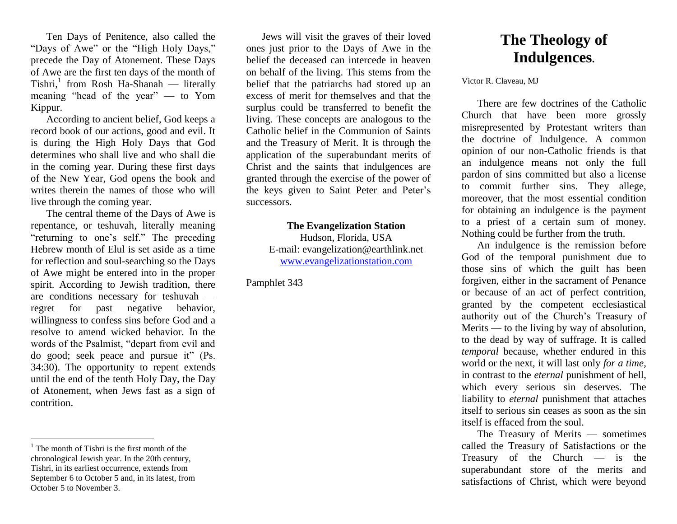Ten Days of Penitence, also called the "Days of Awe" or the "High Holy Days," precede the Day of Atonement. These Days of Awe are the first ten days of the month of Tishri,<sup>1</sup> from Rosh Ha-Shanah — literally meaning "head of the year" — to Yom Kippur.

According to ancient belief, God keeps a record book of our actions, good and evil. It is during the High Holy Days that God determines who shall live and who shall die in the coming year. During these first days of the New Year, God opens the book and writes therein the names of those who will live through the coming year.

The central theme of the Days of Awe is repentance, or teshuvah, literally meaning "returning to one's self." The preceding Hebrew month of Elul is set aside as a time for reflection and soul-searching so the Days of Awe might be entered into in the proper spirit. According to Jewish tradition, there are conditions necessary for teshuvah regret for past negative behavior, willingness to confess sins before God and a resolve to amend wicked behavior. In the words of the Psalmist, "depart from evil and do good; seek peace and pursue it" (Ps. 34:30). The opportunity to repent extends until the end of the tenth Holy Day, the Day of Atonement, when Jews fast as a sign of contrition.

 $\overline{a}$ 

Jews will visit the graves of their loved ones just prior to the Days of Awe in the belief the deceased can intercede in heaven on behalf of the living. This stems from the belief that the patriarchs had stored up an excess of merit for themselves and that the surplus could be transferred to benefit the living. These concepts are analogous to the Catholic belief in the Communion of Saints and the Treasury of Merit. It is through the application of the superabundant merits of Christ and the saints that indulgences are granted through the exercise of the power of the keys given to Saint Peter and Peter's successors.

> **The Evangelization Station**  Hudson, Florida, USA E-mail: evangelization@earthlink.net [www.evangelizationstation.com](http://www.pjpiisoe.org/)

Pamphlet 343

## **The Theology of Indulgences.**

Victor R. Claveau, MJ

There are few doctrines of the Catholic Church that have been more grossly misrepresented by Protestant writers than the doctrine of Indulgence. A common opinion of our non-Catholic friends is that an indulgence means not only the full pardon of sins committed but also a license to commit further sins. They allege, moreover, that the most essential condition for obtaining an indulgence is the payment to a priest of a certain sum of money. Nothing could be further from the truth.

An indulgence is the remission before God of the temporal punishment due to those sins of which the guilt has been forgiven, either in the sacrament of Penance or because of an act of perfect contrition, granted by the competent ecclesiastical authority out of the Church's Treasury of Merits — to the living by way of absolution, to the dead by way of suffrage. It is called *temporal* because, whether endured in this world or the next, it will last only *for a time*, in contrast to the *eternal* punishment of hell, which every serious sin deserves. The liability to *eternal* punishment that attaches itself to serious sin ceases as soon as the sin itself is effaced from the soul.

The Treasury of Merits — sometimes called the Treasury of Satisfactions or the Treasury of the Church — is the superabundant store of the merits and satisfactions of Christ, which were beyond

 $<sup>1</sup>$  The month of Tishri is the first month of the</sup> chronological Jewish year. In the 20th century, Tishri, in its earliest occurrence, extends from September 6 to October 5 and, in its latest, from October 5 to November 3.